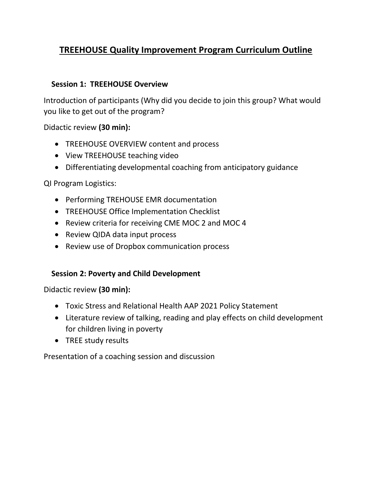# **TREEHOUSE Quality Improvement Program Curriculum Outline**

## **Session 1: TREEHOUSE Overview**

Introduction of participants (Why did you decide to join this group? What would you like to get out of the program?

Didactic review **(30 min):**

- TREEHOUSE OVERVIEW content and process
- View TREEHOUSE teaching video
- Differentiating developmental coaching from anticipatory guidance

QI Program Logistics:

- Performing TREHOUSE EMR documentation
- TREEHOUSE Office Implementation Checklist
- Review criteria for receiving CME MOC 2 and MOC 4
- Review QIDA data input process
- Review use of Dropbox communication process

## **Session 2: Poverty and Child Development**

Didactic review **(30 min):**

- Toxic Stress and Relational Health AAP 2021 Policy Statement
- Literature review of talking, reading and play effects on child development for children living in poverty
- TREE study results

Presentation of a coaching session and discussion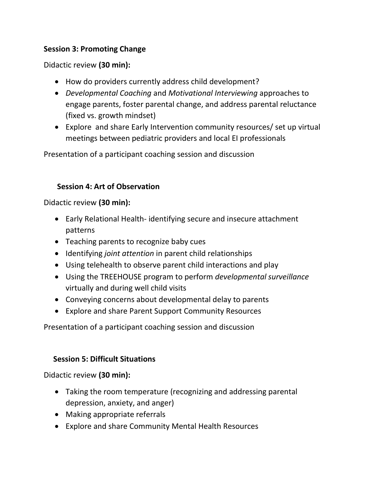## **Session 3: Promoting Change**

## Didactic review **(30 min):**

- How do providers currently address child development?
- *Developmental Coaching* and *Motivational Interviewing* approaches to engage parents, foster parental change, and address parental reluctance (fixed vs. growth mindset)
- Explore and share Early Intervention community resources/ set up virtual meetings between pediatric providers and local EI professionals

Presentation of a participant coaching session and discussion

## **Session 4: Art of Observation**

Didactic review **(30 min):**

- Early Relational Health- identifying secure and insecure attachment patterns
- Teaching parents to recognize baby cues
- Identifying *joint attention* in parent child relationships
- Using telehealth to observe parent child interactions and play
- Using the TREEHOUSE program to perform *developmental surveillance* virtually and during well child visits
- Conveying concerns about developmental delay to parents
- Explore and share Parent Support Community Resources

Presentation of a participant coaching session and discussion

## **Session 5: Difficult Situations**

Didactic review **(30 min):**

- Taking the room temperature (recognizing and addressing parental depression, anxiety, and anger)
- Making appropriate referrals
- Explore and share Community Mental Health Resources